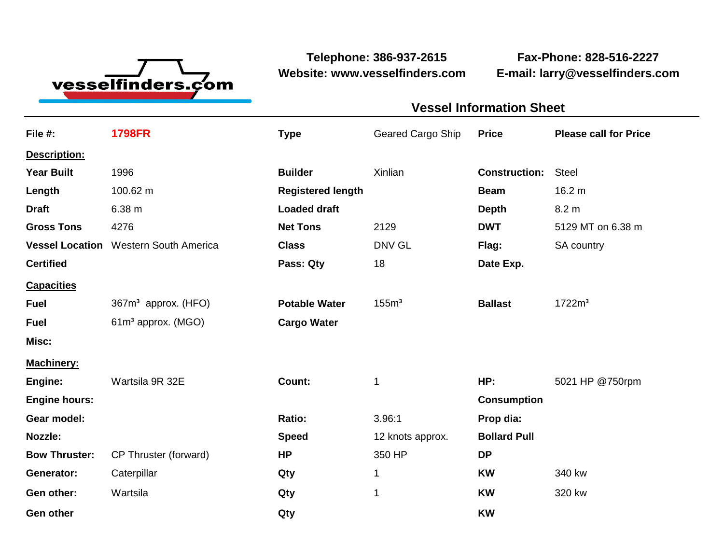

**Telephone: 386-937-2615 Fax-Phone: 828-516-2227 Website: www.vesselfinders.com E-mail: larry@vesselfinders.com**

| <b>Vessel Information Sheet</b>                            |  |
|------------------------------------------------------------|--|
| Geared Cargo Ship Price Please call for Price              |  |
|                                                            |  |
| <b>Construction: Steel</b>                                 |  |
| <b>Beam</b> 16.2 m                                         |  |
| Depth 8.2 m<br><b>DWT</b> 5129 MT on 6.38 m                |  |
| <b>Class</b> DNV GL <b>Flag:</b> SA country                |  |
| 18 Date Exp.                                               |  |
|                                                            |  |
| Potable Water 155m <sup>3</sup> Ballast 1722m <sup>3</sup> |  |
|                                                            |  |
|                                                            |  |
| HP: 5021 HP @750rpm                                        |  |
| Consumption                                                |  |
| Prop dia:<br>12 knots approx. <b>Bollard Pull</b>          |  |
|                                                            |  |
| <b>KW</b> 340 kw                                           |  |
| <b>KW</b> 320 kw                                           |  |